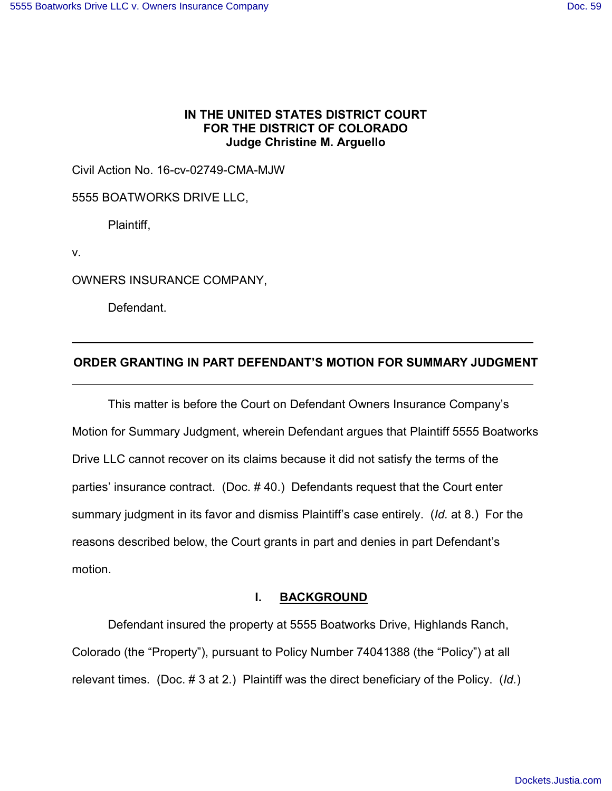## **IN THE UNITED STATES DISTRICT COURT FOR THE DISTRICT OF COLORADO Judge Christine M. Arguello**

Civil Action No. 16-cv-02749-CMA-MJW

5555 BOATWORKS DRIVE LLC,

Plaintiff,

v.

OWNERS INSURANCE COMPANY,

Defendant.

### **ORDER GRANTING IN PART DEFENDANT'S MOTION FOR SUMMARY JUDGMENT**

This matter is before the Court on Defendant Owners Insurance Company's Motion for Summary Judgment, wherein Defendant argues that Plaintiff 5555 Boatworks Drive LLC cannot recover on its claims because it did not satisfy the terms of the parties' insurance contract. (Doc. # 40.) Defendants request that the Court enter summary judgment in its favor and dismiss Plaintiff's case entirely. (*Id.* at 8.) For the reasons described below, the Court grants in part and denies in part Defendant's motion.

### **I. BACKGROUND**

Defendant insured the property at 5555 Boatworks Drive, Highlands Ranch, Colorado (the "Property"), pursuant to Policy Number 74041388 (the "Policy") at all relevant times. (Doc. # 3 at 2.) Plaintiff was the direct beneficiary of the Policy. (*Id.*)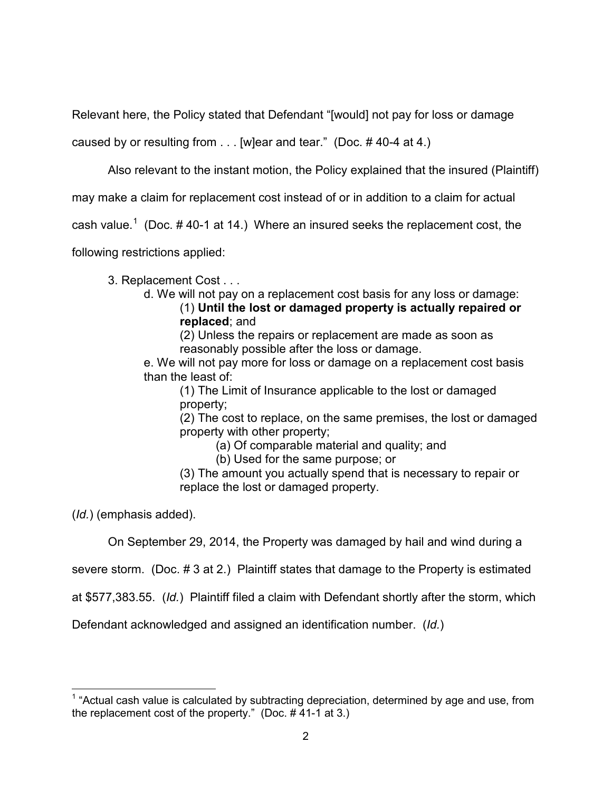Relevant here, the Policy stated that Defendant "[would] not pay for loss or damage

caused by or resulting from . . . [w]ear and tear." (Doc. # 40-4 at 4.)

Also relevant to the instant motion, the Policy explained that the insured (Plaintiff)

may make a claim for replacement cost instead of or in addition to a claim for actual

cash value.<sup>[1](#page-1-0)</sup> (Doc. #40-1 at 14.) Where an insured seeks the replacement cost, the

following restrictions applied:

3. Replacement Cost . . .

- d. We will not pay on a replacement cost basis for any loss or damage:
	- (1) **Until the lost or damaged property is actually repaired or replaced**; and

(2) Unless the repairs or replacement are made as soon as reasonably possible after the loss or damage.

e. We will not pay more for loss or damage on a replacement cost basis than the least of:

(1) The Limit of Insurance applicable to the lost or damaged property;

(2) The cost to replace, on the same premises, the lost or damaged property with other property;

(a) Of comparable material and quality; and

(b) Used for the same purpose; or

(3) The amount you actually spend that is necessary to repair or replace the lost or damaged property.

(*Id.*) (emphasis added).

On September 29, 2014, the Property was damaged by hail and wind during a

severe storm. (Doc. # 3 at 2.) Plaintiff states that damage to the Property is estimated

at \$577,383.55. (*Id.*) Plaintiff filed a claim with Defendant shortly after the storm, which

Defendant acknowledged and assigned an identification number. (*Id.*)

<span id="page-1-0"></span> $\overline{\phantom{a}}$  $1$  "Actual cash value is calculated by subtracting depreciation, determined by age and use, from the replacement cost of the property." (Doc. # 41-1 at 3.)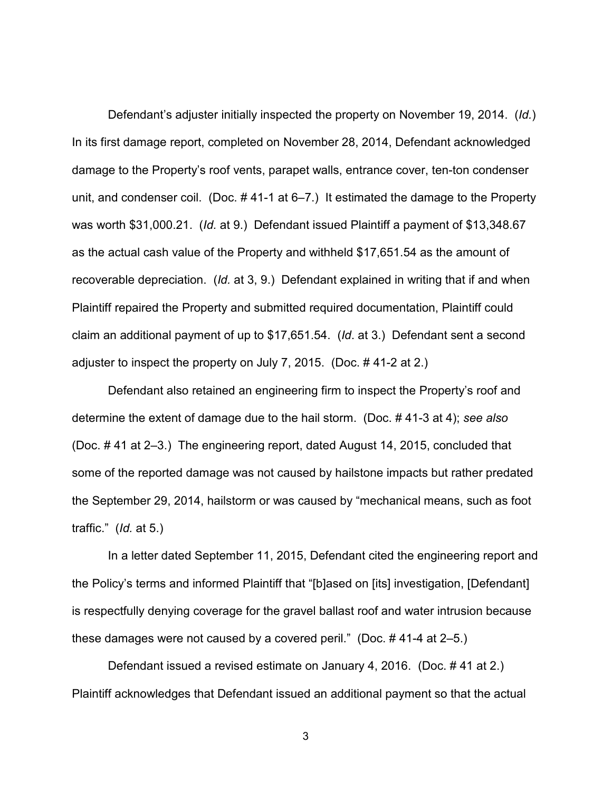Defendant's adjuster initially inspected the property on November 19, 2014. (*Id.*) In its first damage report, completed on November 28, 2014, Defendant acknowledged damage to the Property's roof vents, parapet walls, entrance cover, ten-ton condenser unit, and condenser coil. (Doc. # 41-1 at 6–7.) It estimated the damage to the Property was worth \$31,000.21. (*Id.* at 9.) Defendant issued Plaintiff a payment of \$13,348.67 as the actual cash value of the Property and withheld \$17,651.54 as the amount of recoverable depreciation. (*Id.* at 3, 9.) Defendant explained in writing that if and when Plaintiff repaired the Property and submitted required documentation, Plaintiff could claim an additional payment of up to \$17,651.54. (*Id*. at 3.) Defendant sent a second adjuster to inspect the property on July 7, 2015. (Doc. # 41-2 at 2.)

Defendant also retained an engineering firm to inspect the Property's roof and determine the extent of damage due to the hail storm. (Doc. # 41-3 at 4); *see also* (Doc. # 41 at 2–3.) The engineering report, dated August 14, 2015, concluded that some of the reported damage was not caused by hailstone impacts but rather predated the September 29, 2014, hailstorm or was caused by "mechanical means, such as foot traffic." (*Id.* at 5.)

In a letter dated September 11, 2015, Defendant cited the engineering report and the Policy's terms and informed Plaintiff that "[b]ased on [its] investigation, [Defendant] is respectfully denying coverage for the gravel ballast roof and water intrusion because these damages were not caused by a covered peril." (Doc. # 41-4 at 2–5.)

Defendant issued a revised estimate on January 4, 2016. (Doc. # 41 at 2.) Plaintiff acknowledges that Defendant issued an additional payment so that the actual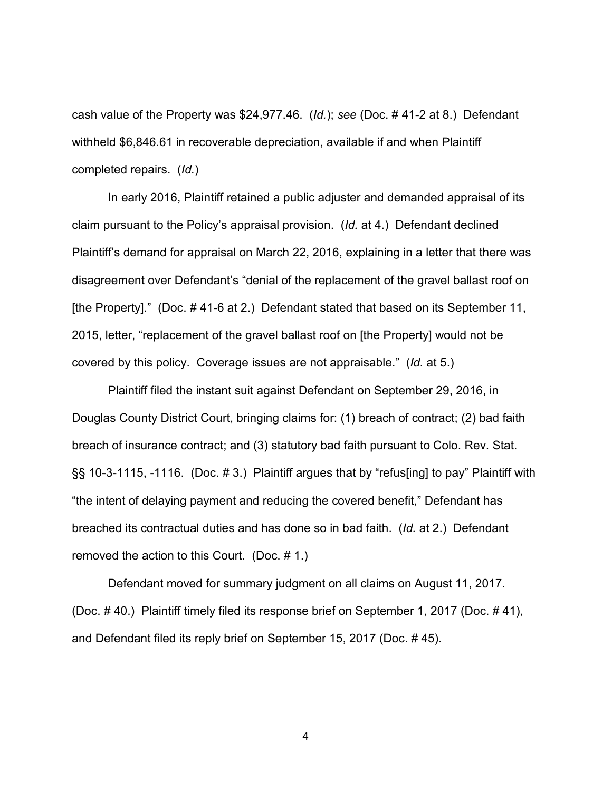cash value of the Property was \$24,977.46. (*Id.*); *see* (Doc. # 41-2 at 8.) Defendant withheld \$6,846.61 in recoverable depreciation, available if and when Plaintiff completed repairs. (*Id.*)

In early 2016, Plaintiff retained a public adjuster and demanded appraisal of its claim pursuant to the Policy's appraisal provision. (*Id.* at 4.) Defendant declined Plaintiff's demand for appraisal on March 22, 2016, explaining in a letter that there was disagreement over Defendant's "denial of the replacement of the gravel ballast roof on [the Property]." (Doc. #41-6 at 2.) Defendant stated that based on its September 11, 2015, letter, "replacement of the gravel ballast roof on [the Property] would not be covered by this policy. Coverage issues are not appraisable." (*Id.* at 5.)

Plaintiff filed the instant suit against Defendant on September 29, 2016, in Douglas County District Court, bringing claims for: (1) breach of contract; (2) bad faith breach of insurance contract; and (3) statutory bad faith pursuant to Colo. Rev. Stat. §§ 10-3-1115, -1116. (Doc. #3.) Plaintiff argues that by "refus[ing] to pay" Plaintiff with "the intent of delaying payment and reducing the covered benefit," Defendant has breached its contractual duties and has done so in bad faith. (*Id.* at 2.) Defendant removed the action to this Court. (Doc. # 1.)

Defendant moved for summary judgment on all claims on August 11, 2017. (Doc. # 40.) Plaintiff timely filed its response brief on September 1, 2017 (Doc. # 41), and Defendant filed its reply brief on September 15, 2017 (Doc. # 45).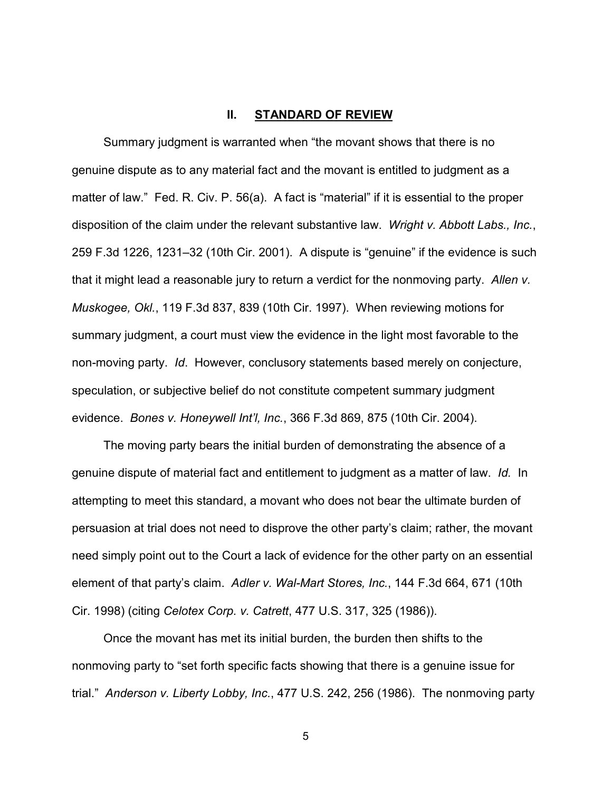#### **II. STANDARD OF REVIEW**

Summary judgment is warranted when "the movant shows that there is no genuine dispute as to any material fact and the movant is entitled to judgment as a matter of law." Fed. R. Civ. P. 56(a). A fact is "material" if it is essential to the proper disposition of the claim under the relevant substantive law. *Wright v. Abbott Labs., Inc.*, 259 F.3d 1226, 1231–32 (10th Cir. 2001). A dispute is "genuine" if the evidence is such that it might lead a reasonable jury to return a verdict for the nonmoving party. *Allen v. Muskogee, Okl.*, 119 F.3d 837, 839 (10th Cir. 1997). When reviewing motions for summary judgment, a court must view the evidence in the light most favorable to the non-moving party. *Id*. However, conclusory statements based merely on conjecture, speculation, or subjective belief do not constitute competent summary judgment evidence. *Bones v. Honeywell Int'l, Inc.*, 366 F.3d 869, 875 (10th Cir. 2004).

The moving party bears the initial burden of demonstrating the absence of a genuine dispute of material fact and entitlement to judgment as a matter of law. *Id.* In attempting to meet this standard, a movant who does not bear the ultimate burden of persuasion at trial does not need to disprove the other party's claim; rather, the movant need simply point out to the Court a lack of evidence for the other party on an essential element of that party's claim. *Adler v. Wal-Mart Stores, Inc.*, 144 F.3d 664, 671 (10th Cir. 1998) (citing *Celotex Corp. v. Catrett*, 477 U.S. 317, 325 (1986)).

Once the movant has met its initial burden, the burden then shifts to the nonmoving party to "set forth specific facts showing that there is a genuine issue for trial." *Anderson v. Liberty Lobby, Inc.*, 477 U.S. 242, 256 (1986). The nonmoving party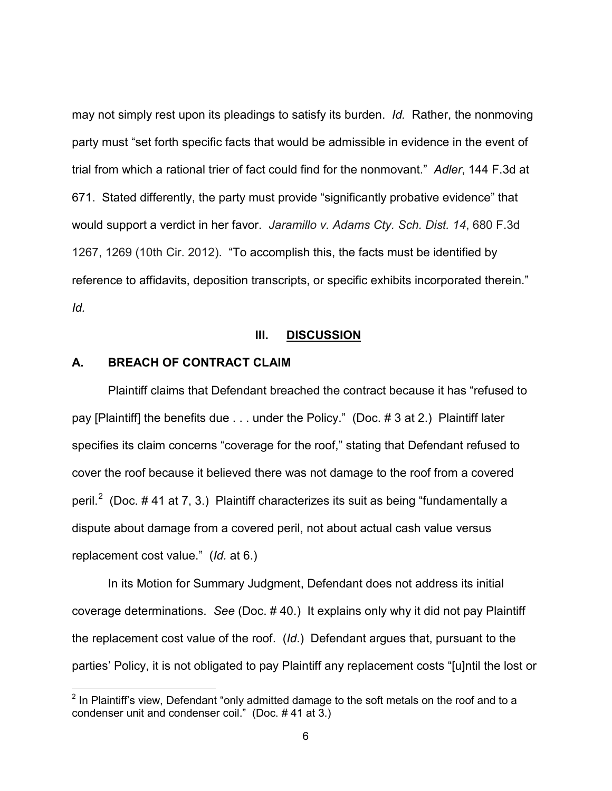may not simply rest upon its pleadings to satisfy its burden. *Id.* Rather, the nonmoving party must "set forth specific facts that would be admissible in evidence in the event of trial from which a rational trier of fact could find for the nonmovant." *Adler*, 144 F.3d at 671. Stated differently, the party must provide "significantly probative evidence" that would support a verdict in her favor. *Jaramillo v. Adams Cty. Sch. Dist. 14*, 680 F.3d 1267, 1269 (10th Cir. 2012). "To accomplish this, the facts must be identified by reference to affidavits, deposition transcripts, or specific exhibits incorporated therein." *Id.* 

### **III. DISCUSSION**

# **A. BREACH OF CONTRACT CLAIM**

 $\overline{a}$ 

Plaintiff claims that Defendant breached the contract because it has "refused to pay [Plaintiff] the benefits due . . . under the Policy." (Doc. # 3 at 2.) Plaintiff later specifies its claim concerns "coverage for the roof," stating that Defendant refused to cover the roof because it believed there was not damage to the roof from a covered peril.<sup>[2](#page-5-0)</sup> (Doc. # 41 at 7, 3.) Plaintiff characterizes its suit as being "fundamentally a dispute about damage from a covered peril, not about actual cash value versus replacement cost value." (*Id.* at 6.)

In its Motion for Summary Judgment, Defendant does not address its initial coverage determinations. *See* (Doc. # 40.) It explains only why it did not pay Plaintiff the replacement cost value of the roof. (*Id*.) Defendant argues that, pursuant to the parties' Policy, it is not obligated to pay Plaintiff any replacement costs "[u]ntil the lost or

<span id="page-5-0"></span> $2$  In Plaintiff's view, Defendant "only admitted damage to the soft metals on the roof and to a condenser unit and condenser coil." (Doc. # 41 at 3.)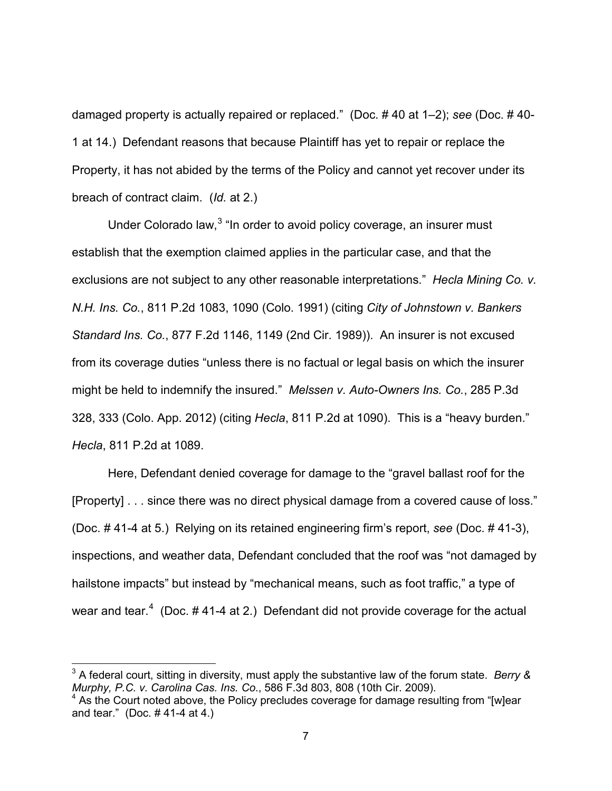damaged property is actually repaired or replaced." (Doc. # 40 at 1–2); *see* (Doc. # 40- 1 at 14.) Defendant reasons that because Plaintiff has yet to repair or replace the Property, it has not abided by the terms of the Policy and cannot yet recover under its breach of contract claim. (*Id.* at 2.)

Under Colorado law,<sup>[3](#page-6-0)</sup> "In order to avoid policy coverage, an insurer must establish that the exemption claimed applies in the particular case, and that the exclusions are not subject to any other reasonable interpretations." *Hecla Mining Co. v. N.H. Ins. Co.*, 811 P.2d 1083, 1090 (Colo. 1991) (citing *City of Johnstown v. Bankers Standard Ins. Co.*, 877 F.2d 1146, 1149 (2nd Cir. 1989)). An insurer is not excused from its coverage duties "unless there is no factual or legal basis on which the insurer might be held to indemnify the insured." *Melssen v. Auto-Owners Ins. Co.*, 285 P.3d 328, 333 (Colo. App. 2012) (citing *Hecla*, 811 P.2d at 1090). This is a "heavy burden." *Hecla*, 811 P.2d at 1089.

Here, Defendant denied coverage for damage to the "gravel ballast roof for the [Property] . . . since there was no direct physical damage from a covered cause of loss." (Doc. # 41-4 at 5.) Relying on its retained engineering firm's report, *see* (Doc. # 41-3), inspections, and weather data, Defendant concluded that the roof was "not damaged by hailstone impacts" but instead by "mechanical means, such as foot traffic," a type of wear and tear.<sup>[4](#page-6-1)</sup> (Doc.  $\#$  41-4 at 2.) Defendant did not provide coverage for the actual

 $\overline{a}$ 

<span id="page-6-0"></span><sup>3</sup> A federal court, sitting in diversity, must apply the substantive law of the forum state. *Berry & Murphy, P.C. v. Carolina Cas. Ins. Co*., 586 F.3d 803, 808 (10th Cir. 2009).

<span id="page-6-1"></span> $4\,$  As the Court noted above, the Policy precludes coverage for damage resulting from "[w]ear and tear." (Doc. # 41-4 at 4.)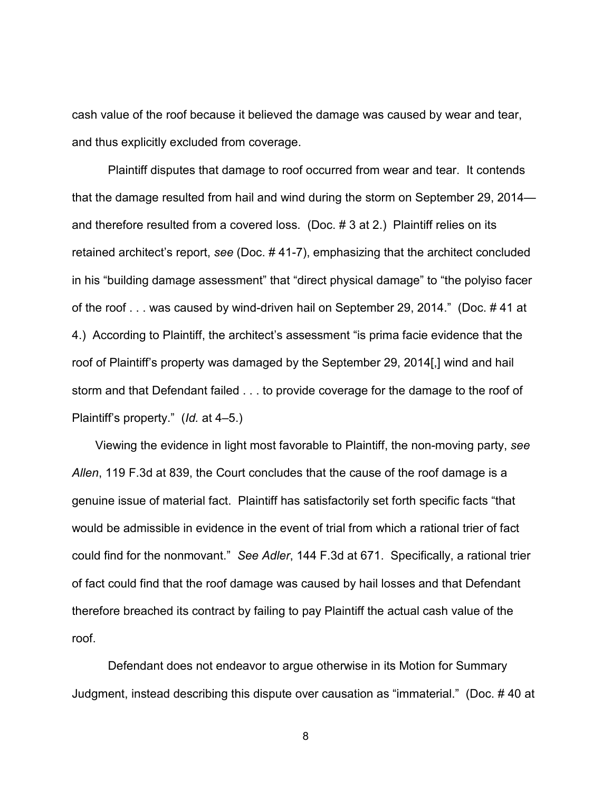cash value of the roof because it believed the damage was caused by wear and tear, and thus explicitly excluded from coverage.

Plaintiff disputes that damage to roof occurred from wear and tear. It contends that the damage resulted from hail and wind during the storm on September 29, 2014 and therefore resulted from a covered loss. (Doc. # 3 at 2.) Plaintiff relies on its retained architect's report, *see* (Doc. # 41-7), emphasizing that the architect concluded in his "building damage assessment" that "direct physical damage" to "the polyiso facer of the roof . . . was caused by wind-driven hail on September 29, 2014." (Doc. # 41 at 4.) According to Plaintiff, the architect's assessment "is prima facie evidence that the roof of Plaintiff's property was damaged by the September 29, 2014[,] wind and hail storm and that Defendant failed . . . to provide coverage for the damage to the roof of Plaintiff's property." (*Id.* at 4–5.)

 Viewing the evidence in light most favorable to Plaintiff, the non-moving party, *see Allen*, 119 F.3d at 839, the Court concludes that the cause of the roof damage is a genuine issue of material fact. Plaintiff has satisfactorily set forth specific facts "that would be admissible in evidence in the event of trial from which a rational trier of fact could find for the nonmovant." *See Adler*, 144 F.3d at 671. Specifically, a rational trier of fact could find that the roof damage was caused by hail losses and that Defendant therefore breached its contract by failing to pay Plaintiff the actual cash value of the roof.

Defendant does not endeavor to argue otherwise in its Motion for Summary Judgment, instead describing this dispute over causation as "immaterial." (Doc. # 40 at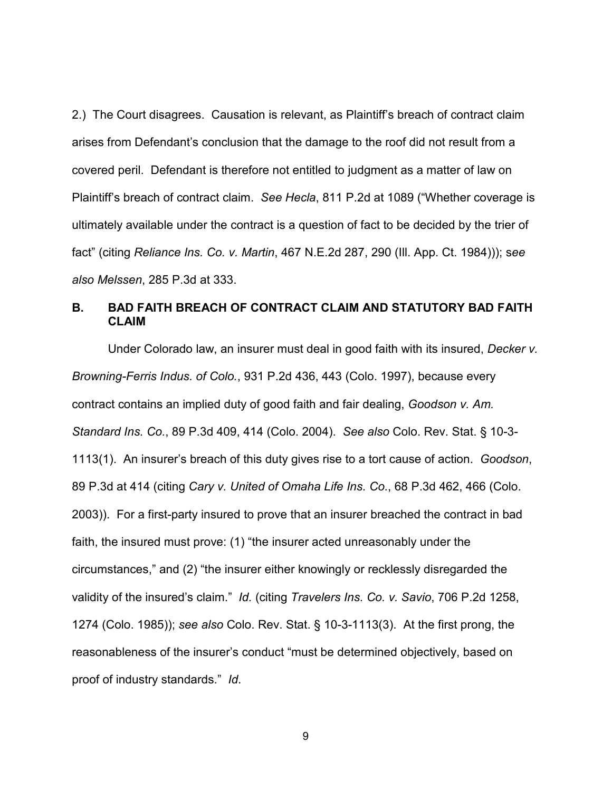2.) The Court disagrees. Causation is relevant, as Plaintiff's breach of contract claim arises from Defendant's conclusion that the damage to the roof did not result from a covered peril. Defendant is therefore not entitled to judgment as a matter of law on Plaintiff's breach of contract claim. *See Hecla*, 811 P.2d at 1089 ("Whether coverage is ultimately available under the contract is a question of fact to be decided by the trier of fact" (citing *Reliance Ins. Co. v. Martin*, 467 N.E.2d 287, 290 (Ill. App. Ct. 1984))); s*ee also Melssen*, 285 P.3d at 333.

# **B. BAD FAITH BREACH OF CONTRACT CLAIM AND STATUTORY BAD FAITH CLAIM**

Under Colorado law, an insurer must deal in good faith with its insured, *Decker v. Browning-Ferris Indus. of Colo.*, 931 P.2d 436, 443 (Colo. 1997), because every contract contains an implied duty of good faith and fair dealing, *Goodson v. Am. Standard Ins. Co.*, 89 P.3d 409, 414 (Colo. 2004). *See also* Colo. Rev. Stat. § 10-3- 1113(1). An insurer's breach of this duty gives rise to a tort cause of action. *Goodson*, 89 P.3d at 414 (citing *Cary v. United of Omaha Life Ins. Co.*, 68 P.3d 462, 466 (Colo. 2003)). For a first-party insured to prove that an insurer breached the contract in bad faith, the insured must prove: (1) "the insurer acted unreasonably under the circumstances," and (2) "the insurer either knowingly or recklessly disregarded the validity of the insured's claim." *Id.* (citing *Travelers Ins. Co. v. Savio*, 706 P.2d 1258, 1274 (Colo. 1985)); *see also* Colo. Rev. Stat. § 10-3-1113(3). At the first prong, the reasonableness of the insurer's conduct "must be determined objectively, based on proof of industry standards." *Id*.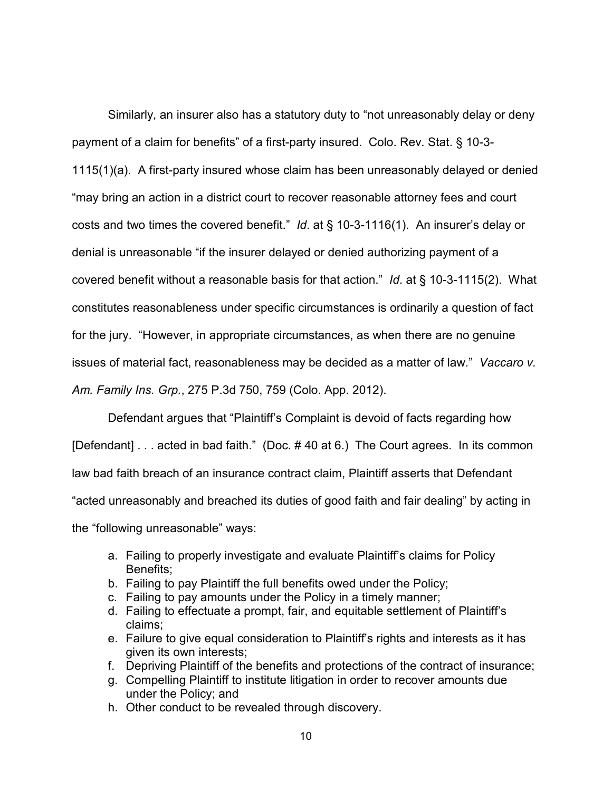Similarly, an insurer also has a statutory duty to "not unreasonably delay or deny payment of a claim for benefits" of a first-party insured. Colo. Rev. Stat. § 10-3- 1115(1)(a). A first-party insured whose claim has been unreasonably delayed or denied "may bring an action in a district court to recover reasonable attorney fees and court costs and two times the covered benefit." *Id*. at § 10-3-1116(1). An insurer's delay or denial is unreasonable "if the insurer delayed or denied authorizing payment of a covered benefit without a reasonable basis for that action." *Id*. at § 10-3-1115(2). What constitutes reasonableness under specific circumstances is ordinarily a question of fact for the jury. "However, in appropriate circumstances, as when there are no genuine issues of material fact, reasonableness may be decided as a matter of law." *Vaccaro v. Am. Family Ins. Grp.*, 275 P.3d 750, 759 (Colo. App. 2012).

Defendant argues that "Plaintiff's Complaint is devoid of facts regarding how [Defendant] . . . acted in bad faith." (Doc. # 40 at 6.) The Court agrees. In its common law bad faith breach of an insurance contract claim, Plaintiff asserts that Defendant "acted unreasonably and breached its duties of good faith and fair dealing" by acting in the "following unreasonable" ways:

- a. Failing to properly investigate and evaluate Plaintiff's claims for Policy Benefits;
- b. Failing to pay Plaintiff the full benefits owed under the Policy;
- c. Failing to pay amounts under the Policy in a timely manner;
- d. Failing to effectuate a prompt, fair, and equitable settlement of Plaintiff's claims;
- e. Failure to give equal consideration to Plaintiff's rights and interests as it has given its own interests;
- f. Depriving Plaintiff of the benefits and protections of the contract of insurance;
- g. Compelling Plaintiff to institute litigation in order to recover amounts due under the Policy; and
- h. Other conduct to be revealed through discovery.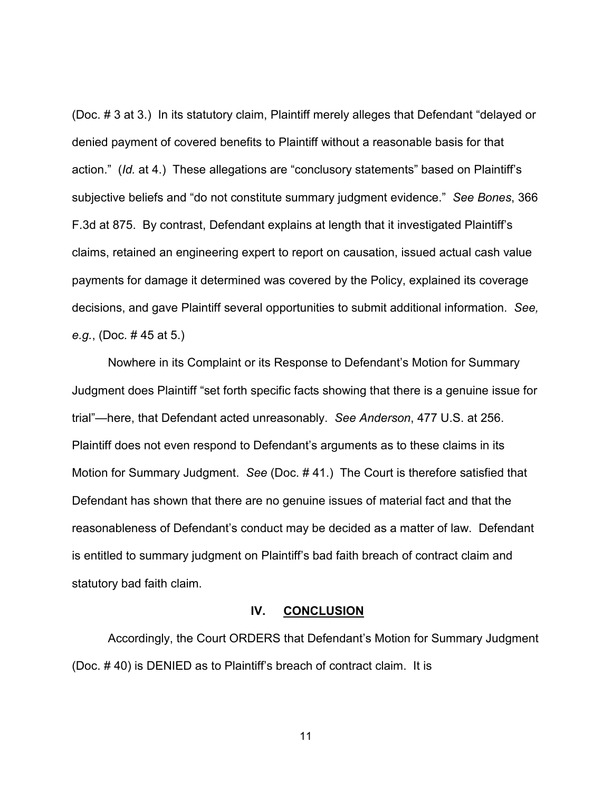(Doc. # 3 at 3.) In its statutory claim, Plaintiff merely alleges that Defendant "delayed or denied payment of covered benefits to Plaintiff without a reasonable basis for that action." (*Id.* at 4.) These allegations are "conclusory statements" based on Plaintiff's subjective beliefs and "do not constitute summary judgment evidence." *See Bones*, 366 F.3d at 875. By contrast, Defendant explains at length that it investigated Plaintiff's claims, retained an engineering expert to report on causation, issued actual cash value payments for damage it determined was covered by the Policy, explained its coverage decisions, and gave Plaintiff several opportunities to submit additional information. *See, e.g.*, (Doc. # 45 at 5.)

Nowhere in its Complaint or its Response to Defendant's Motion for Summary Judgment does Plaintiff "set forth specific facts showing that there is a genuine issue for trial"—here, that Defendant acted unreasonably. *See Anderson*, 477 U.S. at 256. Plaintiff does not even respond to Defendant's arguments as to these claims in its Motion for Summary Judgment. *See* (Doc. # 41.) The Court is therefore satisfied that Defendant has shown that there are no genuine issues of material fact and that the reasonableness of Defendant's conduct may be decided as a matter of law. Defendant is entitled to summary judgment on Plaintiff's bad faith breach of contract claim and statutory bad faith claim.

#### **IV. CONCLUSION**

Accordingly, the Court ORDERS that Defendant's Motion for Summary Judgment (Doc. # 40) is DENIED as to Plaintiff's breach of contract claim. It is